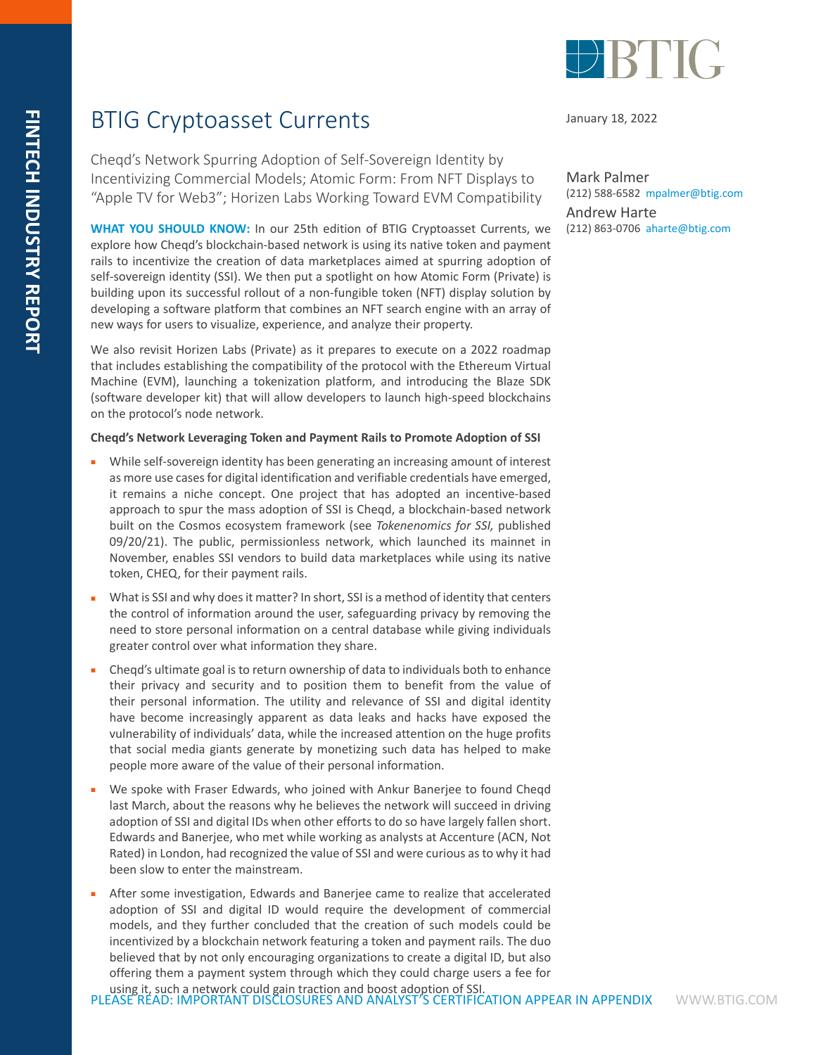

# BTIG Cryptoasset Currents

Cheqd's Network Spurring Adoption of Self-Sovereign Identity by Incentivizing Commercial Models; Atomic Form: From NFT Displays to "Apple TV for Web3"; Horizen Labs Working Toward EVM Compatibility

**WHAT YOU SHOULD KNOW:** In our 25th edition of BTIG Cryptoasset Currents, we explore how Cheqd's blockchain-based network is using its native token and payment rails to incentivize the creation of data marketplaces aimed at spurring adoption of self-sovereign identity (SSI). We then put a spotlight on how Atomic Form (Private) is building upon its successful rollout of a non-fungible token (NFT) display solution by developing a software platform that combines an NFT search engine with an array of new ways for users to visualize, experience, and analyze their property.

We also revisit Horizen Labs (Private) as it prepares to execute on a 2022 roadmap that includes establishing the compatibility of the protocol with the Ethereum Virtual Machine (EVM), launching a tokenization platform, and introducing the Blaze SDK (software developer kit) that will allow developers to launch high-speed blockchains on the protocol's node network.

#### **Cheqd's Network Leveraging Token and Payment Rails to Promote Adoption of SSI**

- While self-sovereign identity has been generating an increasing amount of interest as more use casesfor digital identification and verifiable credentials have emerged, it remains a niche concept. One project that has adopted an incentive-based approach to spur the mass adoption of SSI is Cheqd, a blockchain-based network built on the Cosmos ecosystem framework (see *Tokenenomics for SSI,* published 09/20/21). The public, permissionless network, which launched its mainnet in November, enables SSI vendors to build data marketplaces while using its native token, CHEQ, for their payment rails.
- What is SSI and why does it matter? In short, SSI is a method of identity that centers the control of information around the user, safeguarding privacy by removing the need to store personal information on a central database while giving individuals greater control over what information they share.
- Cheqd's ultimate goal is to return ownership of data to individuals both to enhance their privacy and security and to position them to benefit from the value of their personal information. The utility and relevance of SSI and digital identity have become increasingly apparent as data leaks and hacks have exposed the vulnerability of individuals' data, while the increased attention on the huge profits that social media giants generate by monetizing such data has helped to make people more aware of the value of their personal information.
- We spoke with Fraser Edwards, who joined with Ankur Banerjee to found Cheqd last March, about the reasons why he believes the network will succeed in driving adoption of SSI and digital IDs when other efforts to do so have largely fallen short. Edwards and Banerjee, who met while working as analysts at Accenture (ACN, Not Rated) in London, had recognized the value of SSI and were curious asto why it had been slow to enter the mainstream.
- After some investigation, Edwards and Banerjee came to realize that accelerated adoption of SSI and digital ID would require the development of commercial models, and they further concluded that the creation of such models could be incentivized by a blockchain network featuring a token and payment rails. The duo believed that by not only encouraging organizations to create a digital ID, but also offering them a payment system through which they could charge users a fee for

January 18, 2022

Mark Palmer (212) 588-6582 mpalmer@btig.com Andrew Harte (212) 863-0706 aharte@btig.com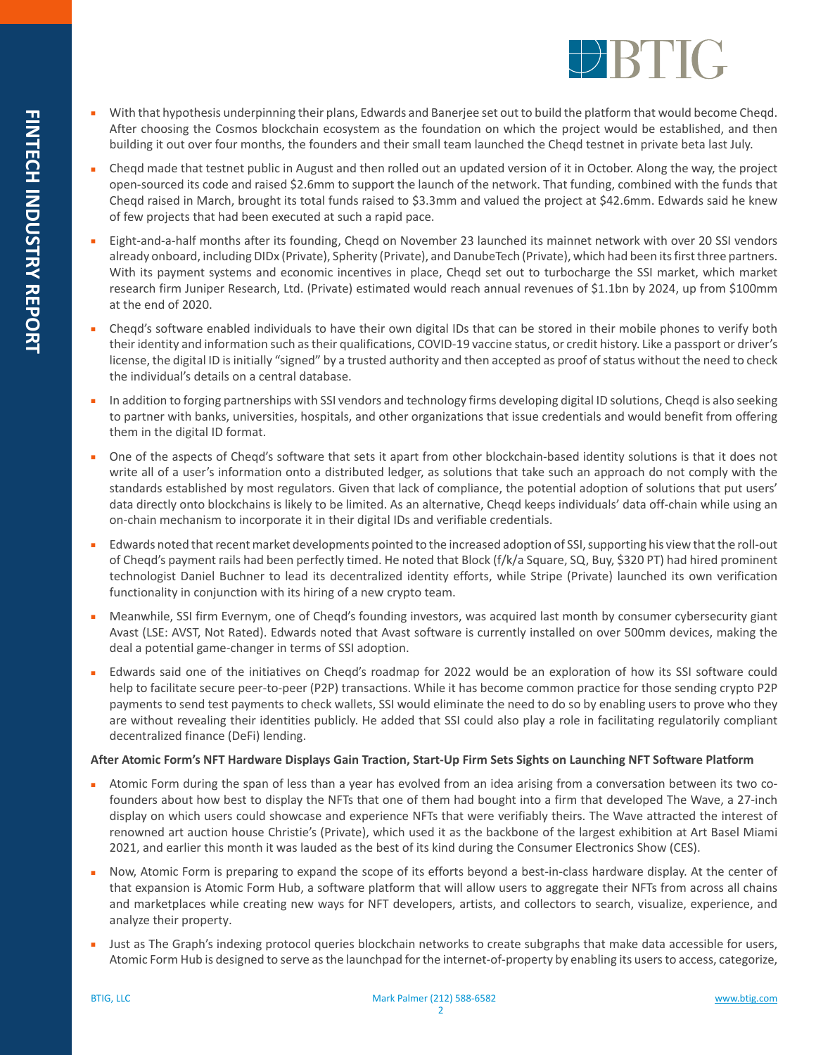

- With that hypothesis underpinning their plans, Edwards and Banerjee set out to build the platform that would become Cheqd. After choosing the Cosmos blockchain ecosystem as the foundation on which the project would be established, and then building it out over four months, the founders and their small team launched the Cheqd testnet in private beta last July.
- Cheqd made that testnet public in August and then rolled out an updated version of it in October. Along the way, the project open-sourced its code and raised \$2.6mm to support the launch of the network. That funding, combined with the funds that Cheqd raised in March, brought its total funds raised to \$3.3mm and valued the project at \$42.6mm. Edwards said he knew of few projects that had been executed at such a rapid pace.
- Eight-and-a-half months after its founding, Cheqd on November 23 launched its mainnet network with over 20 SSI vendors already onboard, including DIDx (Private), Spherity (Private), and DanubeTech (Private), which had been its first three partners. With its payment systems and economic incentives in place, Cheqd set out to turbocharge the SSI market, which market research firm Juniper Research, Ltd. (Private) estimated would reach annual revenues of \$1.1bn by 2024, up from \$100mm at the end of 2020.
- Cheqd's software enabled individuals to have their own digital IDs that can be stored in their mobile phones to verify both their identity and information such astheir qualifications, COVID-19 vaccine status, or credit history. Like a passport or driver's license, the digital ID is initially "signed" by a trusted authority and then accepted as proof of status without the need to check the individual's details on a central database.
- In addition to forging partnerships with SSI vendors and technology firms developing digital ID solutions, Cheqd is also seeking to partner with banks, universities, hospitals, and other organizations that issue credentials and would benefit from offering them in the digital ID format.
- One of the aspects of Cheqd's software that sets it apart from other blockchain-based identity solutions is that it does not write all of a user's information onto a distributed ledger, as solutions that take such an approach do not comply with the standards established by most regulators. Given that lack of compliance, the potential adoption of solutions that put users' data directly onto blockchains is likely to be limited. As an alternative, Cheqd keeps individuals' data off-chain while using an on-chain mechanism to incorporate it in their digital IDs and verifiable credentials.
- Edwards noted that recent market developments pointed to the increased adoption of SSI, supporting his view that the roll-out of Cheqd's payment rails had been perfectly timed. He noted that Block (f/k/a Square, SQ, Buy, \$320 PT) had hired prominent technologist Daniel Buchner to lead its decentralized identity efforts, while Stripe (Private) launched its own verification functionality in conjunction with its hiring of a new crypto team.
- Meanwhile, SSI firm Evernym, one of Cheqd's founding investors, was acquired last month by consumer cybersecurity giant Avast (LSE: AVST, Not Rated). Edwards noted that Avast software is currently installed on over 500mm devices, making the deal a potential game-changer in terms of SSI adoption.
- Edwards said one of the initiatives on Cheqd's roadmap for 2022 would be an exploration of how its SSI software could help to facilitate secure peer-to-peer (P2P) transactions. While it has become common practice for those sending crypto P2P payments to send test payments to check wallets, SSI would eliminate the need to do so by enabling users to prove who they are without revealing their identities publicly. He added that SSI could also play a role in facilitating regulatorily compliant decentralized finance (DeFi) lending.

#### After Atomic Form's NFT Hardware Displays Gain Traction, Start-Up Firm Sets Sights on Launching NFT Software Platform

- Atomic Form during the span of less than a year has evolved from an idea arising from a conversation between its two cofounders about how best to display the NFTs that one of them had bought into a firm that developed The Wave, a 27-inch display on which users could showcase and experience NFTs that were verifiably theirs. The Wave attracted the interest of renowned art auction house Christie's (Private), which used it as the backbone of the largest exhibition at Art Basel Miami 2021, and earlier this month it was lauded as the best of its kind during the Consumer Electronics Show (CES).
- Now, Atomic Form is preparing to expand the scope of its efforts beyond a best-in-class hardware display. At the center of that expansion is Atomic Form Hub, a software platform that will allow users to aggregate their NFTs from across all chains and marketplaces while creating new ways for NFT developers, artists, and collectors to search, visualize, experience, and analyze their property.
- Just as The Graph's indexing protocol queries blockchain networks to create subgraphs that make data accessible for users, Atomic Form Hub is designed to serve asthe launchpad for the internet-of-property by enabling its usersto access, categorize,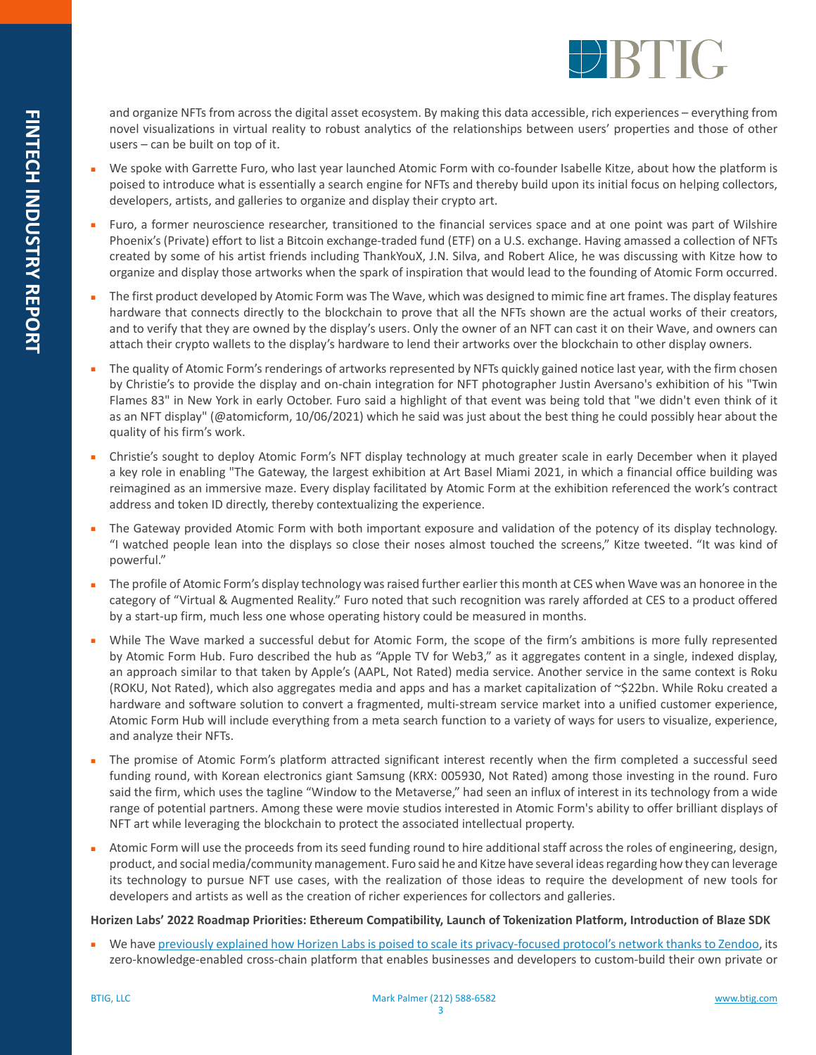

and organize NFTs from across the digital asset ecosystem. By making this data accessible, rich experiences – everything from novel visualizations in virtual reality to robust analytics of the relationships between users' properties and those of other users – can be built on top of it.

- We spoke with Garrette Furo, who last year launched Atomic Form with co-founder Isabelle Kitze, about how the platform is poised to introduce what is essentially a search engine for NFTs and thereby build upon its initial focus on helping collectors, developers, artists, and galleries to organize and display their crypto art.
- Furo, a former neuroscience researcher, transitioned to the financial services space and at one point was part of Wilshire Phoenix's (Private) effort to list a Bitcoin exchange-traded fund (ETF) on a U.S. exchange. Having amassed a collection of NFTs created by some of his artist friends including ThankYouX, J.N. Silva, and Robert Alice, he was discussing with Kitze how to organize and display those artworks when the spark of inspiration that would lead to the founding of Atomic Form occurred.
- The first product developed by Atomic Form was The Wave, which was designed to mimic fine art frames. The display features hardware that connects directly to the blockchain to prove that all the NFTs shown are the actual works of their creators, and to verify that they are owned by the display's users. Only the owner of an NFT can cast it on their Wave, and owners can attach their crypto wallets to the display's hardware to lend their artworks over the blockchain to other display owners.
- The quality of Atomic Form's renderings of artworks represented by NFTs quickly gained notice last year, with the firm chosen by Christie's to provide the display and on-chain integration for NFT photographer Justin Aversano's exhibition of his "Twin Flames 83" in New York in early October. Furo said a highlight of that event was being told that "we didn't even think of it as an NFT display" (@atomicform, 10/06/2021) which he said was just about the best thing he could possibly hear about the quality of his firm's work.
- Christie's sought to deploy Atomic Form's NFT display technology at much greater scale in early December when it played a key role in enabling "The Gateway, the largest exhibition at Art Basel Miami 2021, in which a financial office building was reimagined as an immersive maze. Every display facilitated by Atomic Form at the exhibition referenced the work's contract address and token ID directly, thereby contextualizing the experience.
- The Gateway provided Atomic Form with both important exposure and validation of the potency of its display technology. "I watched people lean into the displays so close their noses almost touched the screens," Kitze tweeted. "It was kind of powerful."
- The profile of Atomic Form's display technology wasraised further earlier this month at CES when Wave was an honoree in the category of "Virtual & Augmented Reality." Furo noted that such recognition was rarely afforded at CES to a product offered by a start-up firm, much less one whose operating history could be measured in months.
- While The Wave marked a successful debut for Atomic Form, the scope of the firm's ambitions is more fully represented by Atomic Form Hub. Furo described the hub as "Apple TV for Web3," as it aggregates content in a single, indexed display, an approach similar to that taken by Apple's (AAPL, Not Rated) media service. Another service in the same context is Roku (ROKU, Not Rated), which also aggregates media and apps and has a market capitalization of ~\$22bn. While Roku created a hardware and software solution to convert a fragmented, multi-stream service market into a unified customer experience, Atomic Form Hub will include everything from a meta search function to a variety of ways for users to visualize, experience, and analyze their NFTs.
- The promise of Atomic Form's platform attracted significant interest recently when the firm completed a successful seed funding round, with Korean electronics giant Samsung (KRX: 005930, Not Rated) among those investing in the round. Furo said the firm, which uses the tagline "Window to the Metaverse," had seen an influx of interest in its technology from a wide range of potential partners. Among these were movie studios interested in Atomic Form's ability to offer brilliant displays of NFT art while leveraging the blockchain to protect the associated intellectual property.
- Atomic Form will use the proceeds from its seed funding round to hire additional staff across the roles of engineering, design, product, and social media/community management. Furo said he and Kitze have several ideas regarding how they can leverage its technology to pursue NFT use cases, with the realization of those ideas to require the development of new tools for developers and artists as well as the creation of richer experiences for collectors and galleries.

#### Horizen Labs' 2022 Roadmap Priorities: Ethereum Compatibility, Launch of Tokenization Platform, Introduction of Blaze SDK

We have previously explained how Horizen Labs is poised to scale its [privacy-focused](https://research.btig.com/reports/371bf4f8-b990-4da3-b2d6-9b1bf1e401b5/) protocol's network thanks to Zendoo, its zero-knowledge-enabled cross-chain platform that enables businesses and developers to custom-build their own private or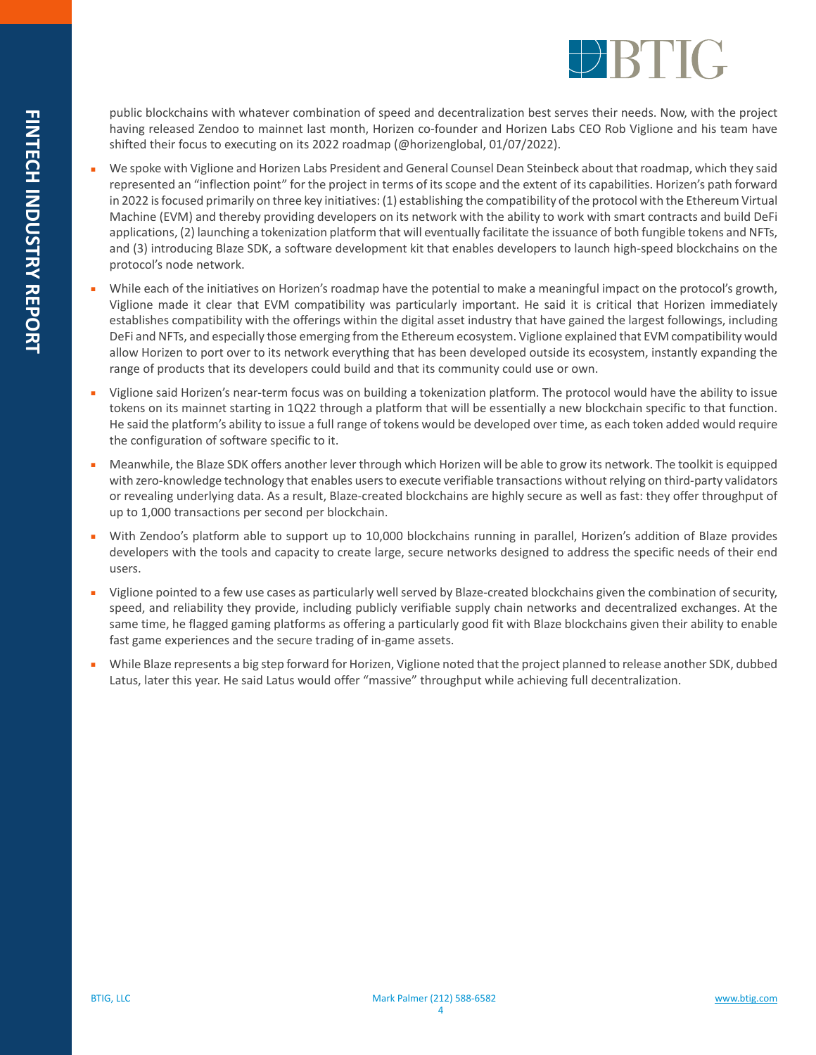

public blockchains with whatever combination of speed and decentralization best serves their needs. Now, with the project having released Zendoo to mainnet last month, Horizen co-founder and Horizen Labs CEO Rob Viglione and his team have shifted their focus to executing on its 2022 roadmap (@horizenglobal, 01/07/2022).

- We spoke with Viglione and Horizen Labs President and General Counsel Dean Steinbeck about that roadmap, which they said represented an "inflection point" for the project in terms of its scope and the extent of its capabilities. Horizen's path forward in 2022 isfocused primarily on three key initiatives: (1) establishing the compatibility ofthe protocol with the Ethereum Virtual Machine (EVM) and thereby providing developers on its network with the ability to work with smart contracts and build DeFi applications, (2) launching a tokenization platform that will eventually facilitate the issuance of both fungible tokens and NFTs, and (3) introducing Blaze SDK, a software development kit that enables developers to launch high-speed blockchains on the protocol's node network.
- While each of the initiatives on Horizen's roadmap have the potential to make a meaningful impact on the protocol's growth, Viglione made it clear that EVM compatibility was particularly important. He said it is critical that Horizen immediately establishes compatibility with the offerings within the digital asset industry that have gained the largest followings, including DeFi and NFTs, and especially those emerging from the Ethereum ecosystem. Viglione explained that EVM compatibility would allow Horizen to port over to its network everything that has been developed outside its ecosystem, instantly expanding the range of products that its developers could build and that its community could use or own.
- Viglione said Horizen's near-term focus was on building a tokenization platform. The protocol would have the ability to issue tokens on its mainnet starting in 1Q22 through a platform that will be essentially a new blockchain specific to that function. He said the platform's ability to issue a full range of tokens would be developed over time, as each token added would require the configuration of software specific to it.
- Meanwhile, the Blaze SDK offers another lever through which Horizen will be able to grow its network. The toolkit is equipped with zero-knowledge technology that enables users to execute verifiable transactions without relying on third-party validators or revealing underlying data. As a result, Blaze-created blockchains are highly secure as well as fast: they offer throughput of up to 1,000 transactions per second per blockchain.
- With Zendoo's platform able to support up to 10,000 blockchains running in parallel, Horizen's addition of Blaze provides developers with the tools and capacity to create large, secure networks designed to address the specific needs of their end users.
- Viglione pointed to a few use cases as particularly wellserved by Blaze-created blockchains given the combination ofsecurity, speed, and reliability they provide, including publicly verifiable supply chain networks and decentralized exchanges. At the same time, he flagged gaming platforms as offering a particularly good fit with Blaze blockchains given their ability to enable fast game experiences and the secure trading of in-game assets.
- While Blaze represents a big step forward for Horizen, Viglione noted that the project planned to release another SDK, dubbed Latus, later this year. He said Latus would offer "massive" throughput while achieving full decentralization.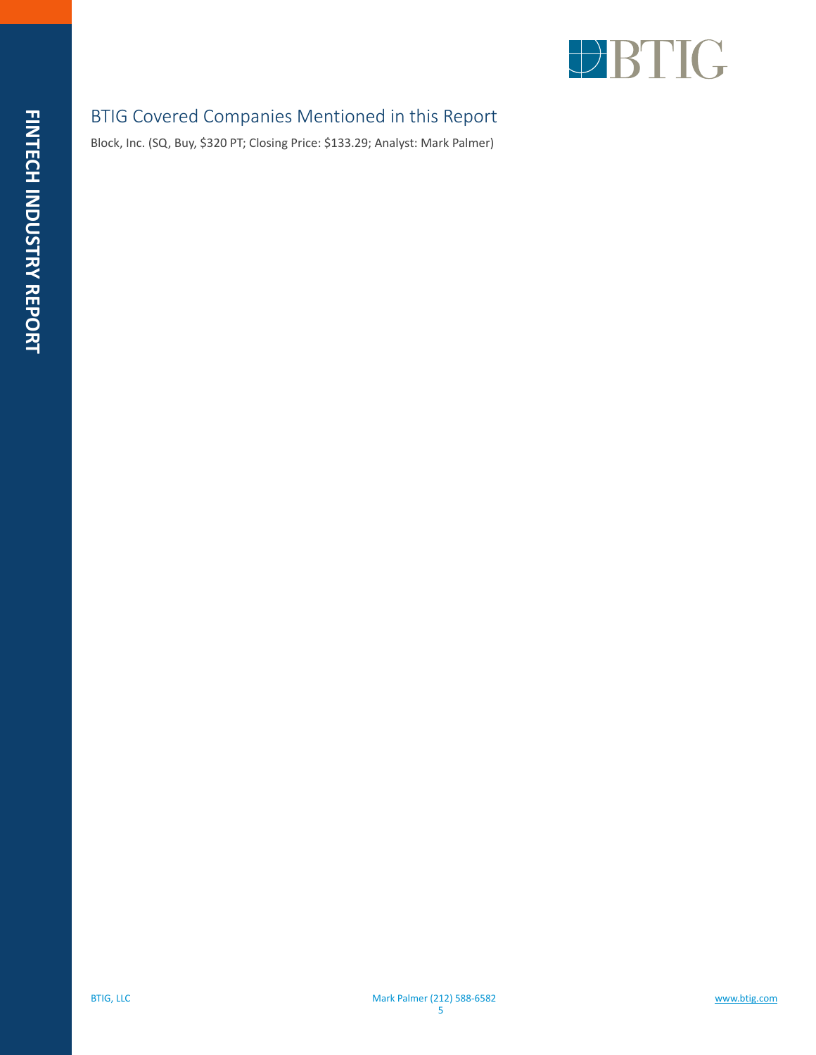$\mathbf{\mathbf{\mathbf{\mathbf{d}}}}$ 



## BTIG Covered Companies Mentioned in this Report

Block, Inc. (SQ, Buy, \$320 PT; Closing Price: \$133.29; Analyst: Mark Palmer)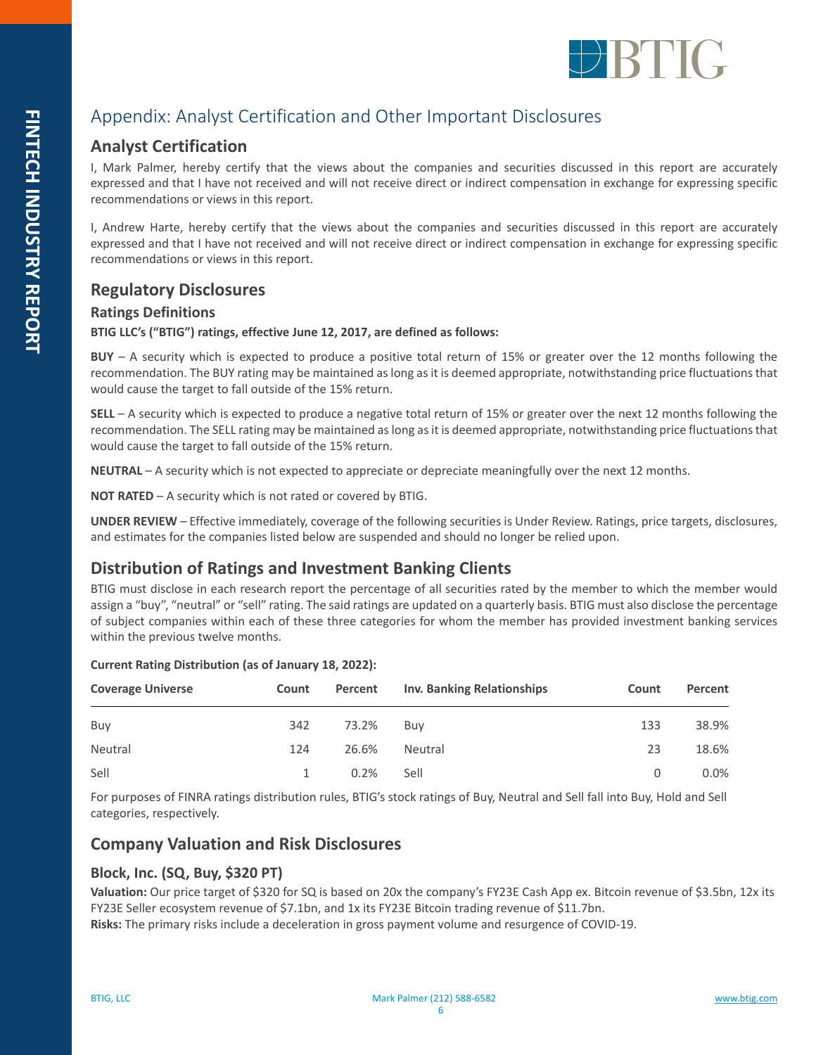

## <span id="page-5-0"></span>Appendix: Analyst Certification and Other Important Disclosures

## **Analyst Certification**

I, Mark Palmer, hereby certify that the views about the companies and securities discussed in this report are accurately expressed and that I have not received and will not receive direct or indirect compensation in exchange for expressing specific recommendations or views in this report.

I, Andrew Harte, hereby certify that the views about the companies and securities discussed in this report are accurately expressed and that I have not received and will not receive direct or indirect compensation in exchange for expressing specific recommendations or views in this report.

### **Regulatory Disclosures**

#### **Ratings Definitions**

#### **BTIG LLC's ("BTIG") ratings, effective June 12, 2017, are defined as follows:**

**BUY** – A security which is expected to produce a positive total return of 15% or greater over the 12 months following the recommendation. The BUY rating may be maintained as long as it is deemed appropriate, notwithstanding price fluctuations that would cause the target to fall outside of the 15% return.

**SELL** – A security which is expected to produce a negative total return of 15% or greater over the next 12 months following the recommendation. The SELL rating may be maintained as long as it is deemed appropriate, notwithstanding price fluctuations that would cause the target to fall outside of the 15% return.

**NEUTRAL** – A security which is not expected to appreciate or depreciate meaningfully over the next 12 months.

**NOT RATED** – A security which is not rated or covered by BTIG.

**UNDER REVIEW** – Effective immediately, coverage of the following securities is Under Review. Ratings, price targets, disclosures, and estimates for the companies listed below are suspended and should no longer be relied upon.

## **Distribution of Ratings and Investment Banking Clients**

BTIG must disclose in each research report the percentage of all securities rated by the member to which the member would assign a "buy", "neutral" or "sell" rating. The said ratings are updated on a quarterly basis. BTIG must also disclose the percentage of subject companies within each of these three categories for whom the member has provided investment banking services within the previous twelve months.

#### **Current Rating Distribution (as of January 18, 2022):**

| <b>Coverage Universe</b> | Count | Percent | <b>Inv. Banking Relationships</b> | Count        | <b>Percent</b> |
|--------------------------|-------|---------|-----------------------------------|--------------|----------------|
| Buy                      | 342   | 73.2%   | Buv                               | 133          | 38.9%          |
| Neutral                  | 124   | 26.6%   | Neutral                           | 23           | 18.6%          |
| Sell                     |       | 0.2%    | Sell                              | $\mathbf{0}$ | $0.0\%$        |

For purposes of FINRA ratings distribution rules, BTIG's stock ratings of Buy, Neutral and Sell fall into Buy, Hold and Sell categories, respectively.

## **Company Valuation and Risk Disclosures**

#### **Block, Inc. (SQ, Buy, \$320 PT)**

**Valuation:** Our price target of \$320 for SQ is based on 20x the company's FY23E Cash App ex. Bitcoin revenue of \$3.5bn, 12x its FY23E Seller ecosystem revenue of \$7.1bn, and 1x its FY23E Bitcoin trading revenue of \$11.7bn. **Risks:** The primary risks include a deceleration in gross payment volume and resurgence of COVID-19.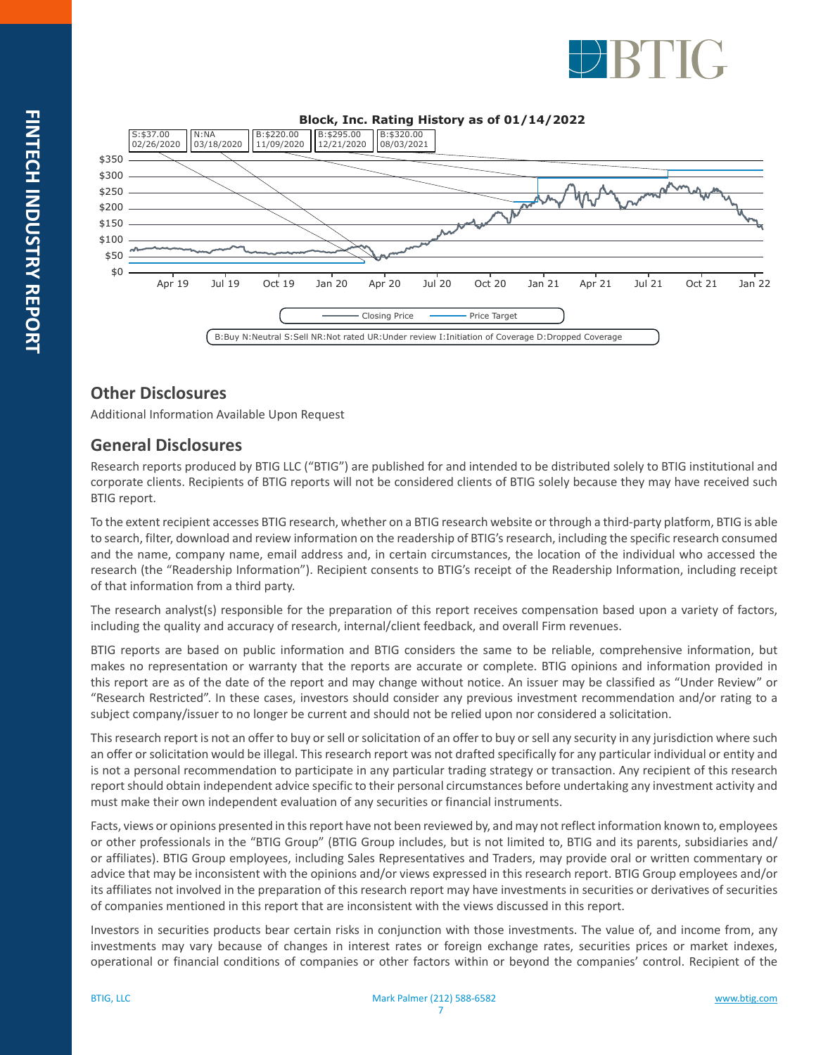

## **Other Disclosures**

Additional Information Available Upon Request

### **General Disclosures**

Research reports produced by BTIG LLC ("BTIG") are published for and intended to be distributed solely to BTIG institutional and corporate clients. Recipients of BTIG reports will not be considered clients of BTIG solely because they may have received such BTIG report.

To the extent recipient accesses BTIG research, whether on a BTIG research website or through a third-party platform, BTIG is able to search, filter, download and review information on the readership of BTIG's research, including the specific research consumed and the name, company name, email address and, in certain circumstances, the location of the individual who accessed the research (the "Readership Information"). Recipient consents to BTIG's receipt of the Readership Information, including receipt of that information from a third party.

The research analyst(s) responsible for the preparation of this report receives compensation based upon a variety of factors, including the quality and accuracy of research, internal/client feedback, and overall Firm revenues.

BTIG reports are based on public information and BTIG considers the same to be reliable, comprehensive information, but makes no representation or warranty that the reports are accurate or complete. BTIG opinions and information provided in this report are as of the date of the report and may change without notice. An issuer may be classified as "Under Review" or "Research Restricted". In these cases, investors should consider any previous investment recommendation and/or rating to a subject company/issuer to no longer be current and should not be relied upon nor considered a solicitation.

This research report is not an offer to buy or sell or solicitation of an offer to buy or sell any security in any jurisdiction where such an offer or solicitation would be illegal. This research report was not drafted specifically for any particular individual or entity and is not a personal recommendation to participate in any particular trading strategy or transaction. Any recipient of this research reportshould obtain independent advice specific to their personal circumstances before undertaking any investment activity and must make their own independent evaluation of any securities or financial instruments.

Facts, views or opinions presented in this report have not been reviewed by, and may not reflect information known to, employees or other professionals in the "BTIG Group" (BTIG Group includes, but is not limited to, BTIG and its parents, subsidiaries and/ or affiliates). BTIG Group employees, including Sales Representatives and Traders, may provide oral or written commentary or advice that may be inconsistent with the opinions and/or views expressed in this research report. BTIG Group employees and/or its affiliates not involved in the preparation of this research report may have investments in securities or derivatives of securities of companies mentioned in this report that are inconsistent with the views discussed in this report.

Investors in securities products bear certain risks in conjunction with those investments. The value of, and income from, any investments may vary because of changes in interest rates or foreign exchange rates, securities prices or market indexes, operational or financial conditions of companies or other factors within or beyond the companies' control. Recipient of the